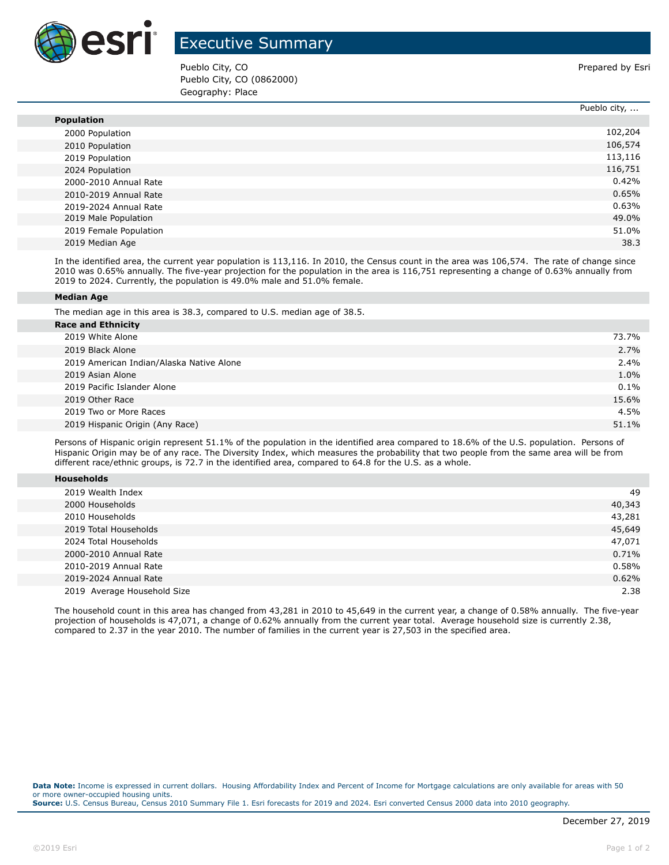

## Executive Summary

Pueblo City, CO **Prepared by Esri** Pueblo City, CO (0862000) Geography: Place

|                        | Pueblo city, |
|------------------------|--------------|
| <b>Population</b>      |              |
| 2000 Population        | 102,204      |
| 2010 Population        | 106,574      |
| 2019 Population        | 113,116      |
| 2024 Population        | 116,751      |
| 2000-2010 Annual Rate  | 0.42%        |
| 2010-2019 Annual Rate  | 0.65%        |
| 2019-2024 Annual Rate  | 0.63%        |
| 2019 Male Population   | 49.0%        |
| 2019 Female Population | 51.0%        |
| 2019 Median Age        | 38.3         |

In the identified area, the current year population is 113,116. In 2010, the Census count in the area was 106,574. The rate of change since 2010 was 0.65% annually. The five-year projection for the population in the area is 116,751 representing a change of 0.63% annually from 2019 to 2024. Currently, the population is 49.0% male and 51.0% female.

## **Median Age**

The median age in this area is 38.3, compared to U.S. median age of 38.5.

| <b>Race and Ethnicity</b>                |         |
|------------------------------------------|---------|
| 2019 White Alone                         | 73.7%   |
| 2019 Black Alone                         | 2.7%    |
| 2019 American Indian/Alaska Native Alone | 2.4%    |
| 2019 Asian Alone                         | 1.0%    |
| 2019 Pacific Islander Alone              | $0.1\%$ |
| 2019 Other Race                          | 15.6%   |
| 2019 Two or More Races                   | 4.5%    |
| 2019 Hispanic Origin (Any Race)          | 51.1%   |
|                                          |         |

Persons of Hispanic origin represent 51.1% of the population in the identified area compared to 18.6% of the U.S. population. Persons of Hispanic Origin may be of any race. The Diversity Index, which measures the probability that two people from the same area will be from different race/ethnic groups, is 72.7 in the identified area, compared to 64.8 for the U.S. as a whole.

| <b>Households</b> |
|-------------------|
|-------------------|

| 2019 Wealth Index           | 49     |
|-----------------------------|--------|
| 2000 Households             | 40,343 |
| 2010 Households             | 43,281 |
| 2019 Total Households       | 45,649 |
| 2024 Total Households       | 47,071 |
| 2000-2010 Annual Rate       | 0.71%  |
| 2010-2019 Annual Rate       | 0.58%  |
| 2019-2024 Annual Rate       | 0.62%  |
| 2019 Average Household Size | 2.38   |

The household count in this area has changed from 43,281 in 2010 to 45,649 in the current year, a change of 0.58% annually. The five-year projection of households is 47,071, a change of 0.62% annually from the current year total. Average household size is currently 2.38, compared to 2.37 in the year 2010. The number of families in the current year is 27,503 in the specified area.

**Data Note:** Income is expressed in current dollars. Housing Affordability Index and Percent of Income for Mortgage calculations are only available for areas with 50 or more owner-occupied housing units. **Source:** U.S. Census Bureau, Census 2010 Summary File 1. Esri forecasts for 2019 and 2024. Esri converted Census 2000 data into 2010 geography.